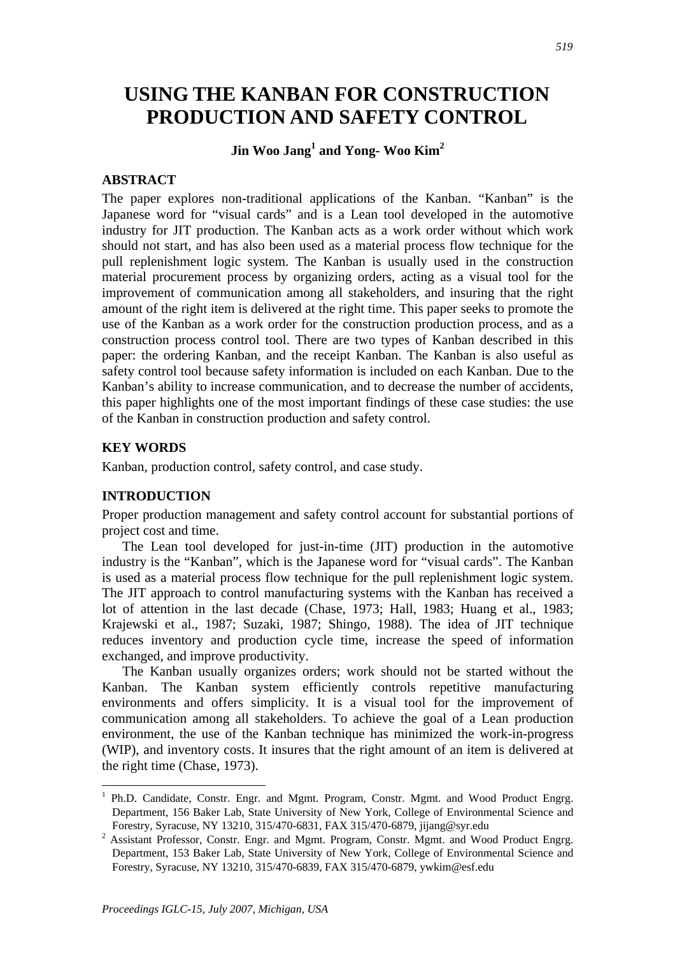# **USING THE KANBAN FOR CONSTRUCTION PRODUCTION AND SAFETY CONTROL**

## **Jin Woo Jang<sup>1</sup> and Yong- Woo Kim<sup>2</sup>**

## **ABSTRACT**

The paper explores non-traditional applications of the Kanban. "Kanban" is the Japanese word for "visual cards" and is a Lean tool developed in the automotive industry for JIT production. The Kanban acts as a work order without which work should not start, and has also been used as a material process flow technique for the pull replenishment logic system. The Kanban is usually used in the construction material procurement process by organizing orders, acting as a visual tool for the improvement of communication among all stakeholders, and insuring that the right amount of the right item is delivered at the right time. This paper seeks to promote the use of the Kanban as a work order for the construction production process, and as a construction process control tool. There are two types of Kanban described in this paper: the ordering Kanban, and the receipt Kanban. The Kanban is also useful as safety control tool because safety information is included on each Kanban. Due to the Kanban's ability to increase communication, and to decrease the number of accidents, this paper highlights one of the most important findings of these case studies: the use of the Kanban in construction production and safety control.

## **KEY WORDS**

Kanban, production control, safety control, and case study.

### **INTRODUCTION**

Proper production management and safety control account for substantial portions of project cost and time.

The Lean tool developed for just-in-time (JIT) production in the automotive industry is the "Kanban", which is the Japanese word for "visual cards". The Kanban is used as a material process flow technique for the pull replenishment logic system. The JIT approach to control manufacturing systems with the Kanban has received a lot of attention in the last decade (Chase, 1973; Hall, 1983; Huang et al., 1983; Krajewski et al., 1987; Suzaki, 1987; Shingo, 1988). The idea of JIT technique reduces inventory and production cycle time, increase the speed of information exchanged, and improve productivity.

The Kanban usually organizes orders; work should not be started without the Kanban. The Kanban system efficiently controls repetitive manufacturing environments and offers simplicity. It is a visual tool for the improvement of communication among all stakeholders. To achieve the goal of a Lean production environment, the use of the Kanban technique has minimized the work-in-progress (WIP), and inventory costs. It insures that the right amount of an item is delivered at the right time (Chase, 1973).

<sup>&</sup>lt;sup>1</sup> Ph.D. Candidate, Constr. Engr. and Mgmt. Program, Constr. Mgmt. and Wood Product Engrg. Department, 156 Baker Lab, State University of New York, College of Environmental Science and Forestry, Syracuse, NY 13210, 315/470-6831, FAX 315/470-6879, jijang@syr.edu 2

<sup>&</sup>lt;sup>2</sup> Assistant Professor, Constr. Engr. and Mgmt. Program, Constr. Mgmt. and Wood Product Engrg. Department, 153 Baker Lab, State University of New York, College of Environmental Science and Forestry, Syracuse, NY 13210, 315/470-6839, FAX 315/470-6879, ywkim@esf.edu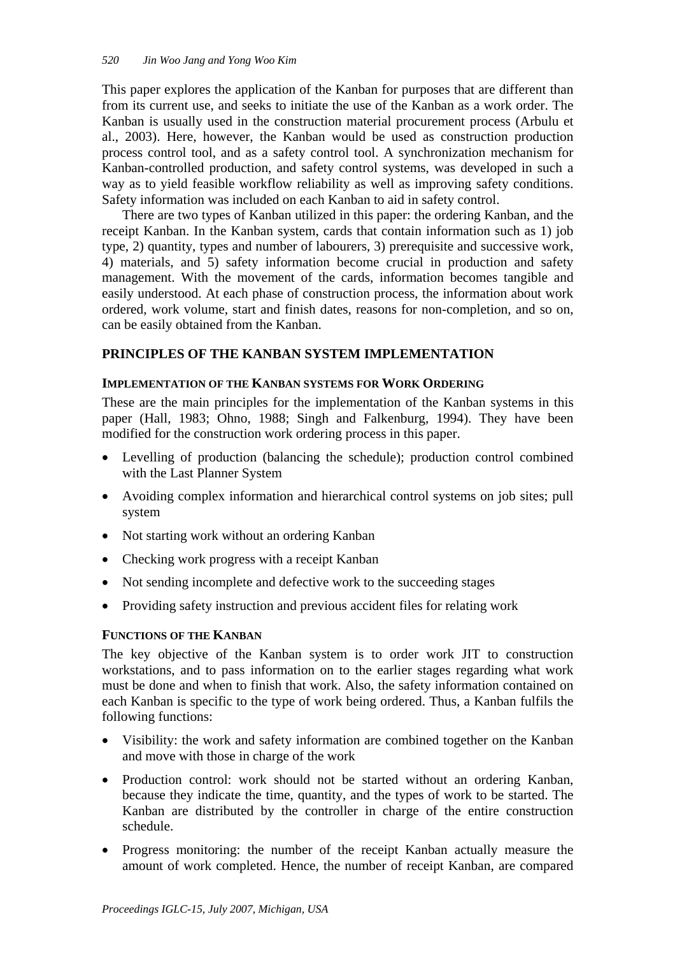This paper explores the application of the Kanban for purposes that are different than from its current use, and seeks to initiate the use of the Kanban as a work order. The Kanban is usually used in the construction material procurement process (Arbulu et al., 2003). Here, however, the Kanban would be used as construction production process control tool, and as a safety control tool. A synchronization mechanism for Kanban-controlled production, and safety control systems, was developed in such a way as to yield feasible workflow reliability as well as improving safety conditions. Safety information was included on each Kanban to aid in safety control.

There are two types of Kanban utilized in this paper: the ordering Kanban, and the receipt Kanban. In the Kanban system, cards that contain information such as 1) job type, 2) quantity, types and number of labourers, 3) prerequisite and successive work, 4) materials, and 5) safety information become crucial in production and safety management. With the movement of the cards, information becomes tangible and easily understood. At each phase of construction process, the information about work ordered, work volume, start and finish dates, reasons for non-completion, and so on, can be easily obtained from the Kanban.

## **PRINCIPLES OF THE KANBAN SYSTEM IMPLEMENTATION**

## **IMPLEMENTATION OF THE KANBAN SYSTEMS FOR WORK ORDERING**

These are the main principles for the implementation of the Kanban systems in this paper (Hall, 1983; Ohno, 1988; Singh and Falkenburg, 1994). They have been modified for the construction work ordering process in this paper.

- Levelling of production (balancing the schedule); production control combined with the Last Planner System
- Avoiding complex information and hierarchical control systems on job sites; pull system
- Not starting work without an ordering Kanban
- Checking work progress with a receipt Kanban
- Not sending incomplete and defective work to the succeeding stages
- Providing safety instruction and previous accident files for relating work

## **FUNCTIONS OF THE KANBAN**

The key objective of the Kanban system is to order work JIT to construction workstations, and to pass information on to the earlier stages regarding what work must be done and when to finish that work. Also, the safety information contained on each Kanban is specific to the type of work being ordered. Thus, a Kanban fulfils the following functions:

- Visibility: the work and safety information are combined together on the Kanban and move with those in charge of the work
- Production control: work should not be started without an ordering Kanban, because they indicate the time, quantity, and the types of work to be started. The Kanban are distributed by the controller in charge of the entire construction schedule.
- Progress monitoring: the number of the receipt Kanban actually measure the amount of work completed. Hence, the number of receipt Kanban, are compared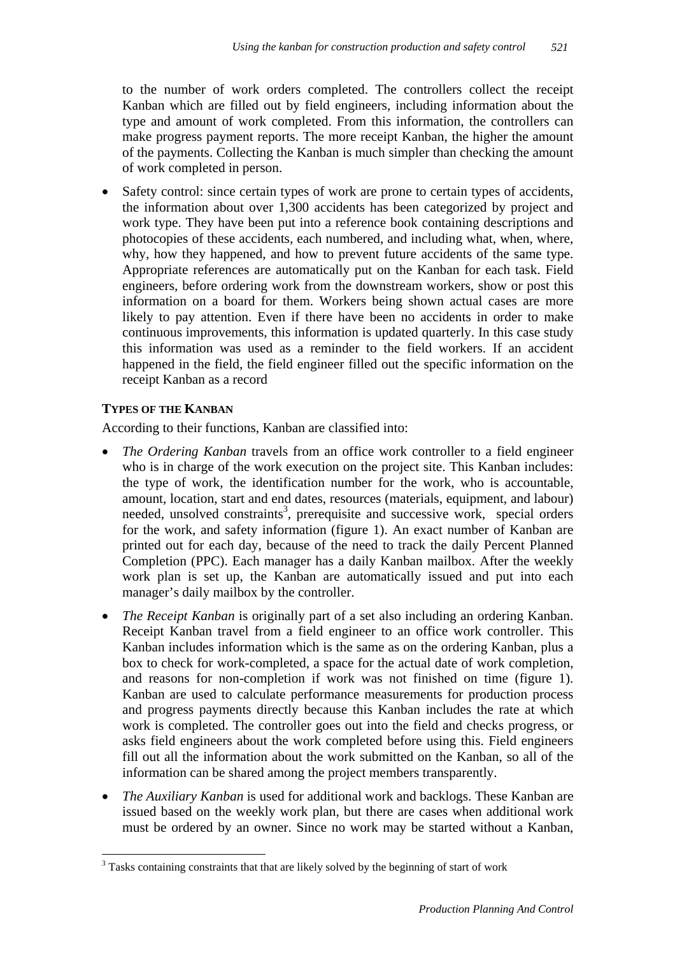to the number of work orders completed. The controllers collect the receipt Kanban which are filled out by field engineers, including information about the type and amount of work completed. From this information, the controllers can make progress payment reports. The more receipt Kanban, the higher the amount of the payments. Collecting the Kanban is much simpler than checking the amount of work completed in person.

• Safety control: since certain types of work are prone to certain types of accidents, the information about over 1,300 accidents has been categorized by project and work type. They have been put into a reference book containing descriptions and photocopies of these accidents, each numbered, and including what, when, where, why, how they happened, and how to prevent future accidents of the same type. Appropriate references are automatically put on the Kanban for each task. Field engineers, before ordering work from the downstream workers, show or post this information on a board for them. Workers being shown actual cases are more likely to pay attention. Even if there have been no accidents in order to make continuous improvements, this information is updated quarterly. In this case study this information was used as a reminder to the field workers. If an accident happened in the field, the field engineer filled out the specific information on the receipt Kanban as a record

## **TYPES OF THE KANBAN**

 $\overline{a}$ 

According to their functions, Kanban are classified into:

- *The Ordering Kanban* travels from an office work controller to a field engineer who is in charge of the work execution on the project site. This Kanban includes: the type of work, the identification number for the work, who is accountable, amount, location, start and end dates, resources (materials, equipment, and labour) needed, unsolved constraints<sup>3</sup>, prerequisite and successive work, special orders for the work, and safety information (figure 1). An exact number of Kanban are printed out for each day, because of the need to track the daily Percent Planned Completion (PPC). Each manager has a daily Kanban mailbox. After the weekly work plan is set up, the Kanban are automatically issued and put into each manager's daily mailbox by the controller.
- *The Receipt Kanban* is originally part of a set also including an ordering Kanban. Receipt Kanban travel from a field engineer to an office work controller. This Kanban includes information which is the same as on the ordering Kanban, plus a box to check for work-completed, a space for the actual date of work completion, and reasons for non-completion if work was not finished on time (figure 1). Kanban are used to calculate performance measurements for production process and progress payments directly because this Kanban includes the rate at which work is completed. The controller goes out into the field and checks progress, or asks field engineers about the work completed before using this. Field engineers fill out all the information about the work submitted on the Kanban, so all of the information can be shared among the project members transparently.
- *The Auxiliary Kanban* is used for additional work and backlogs. These Kanban are issued based on the weekly work plan, but there are cases when additional work must be ordered by an owner. Since no work may be started without a Kanban,

<sup>&</sup>lt;sup>3</sup> Tasks containing constraints that that are likely solved by the beginning of start of work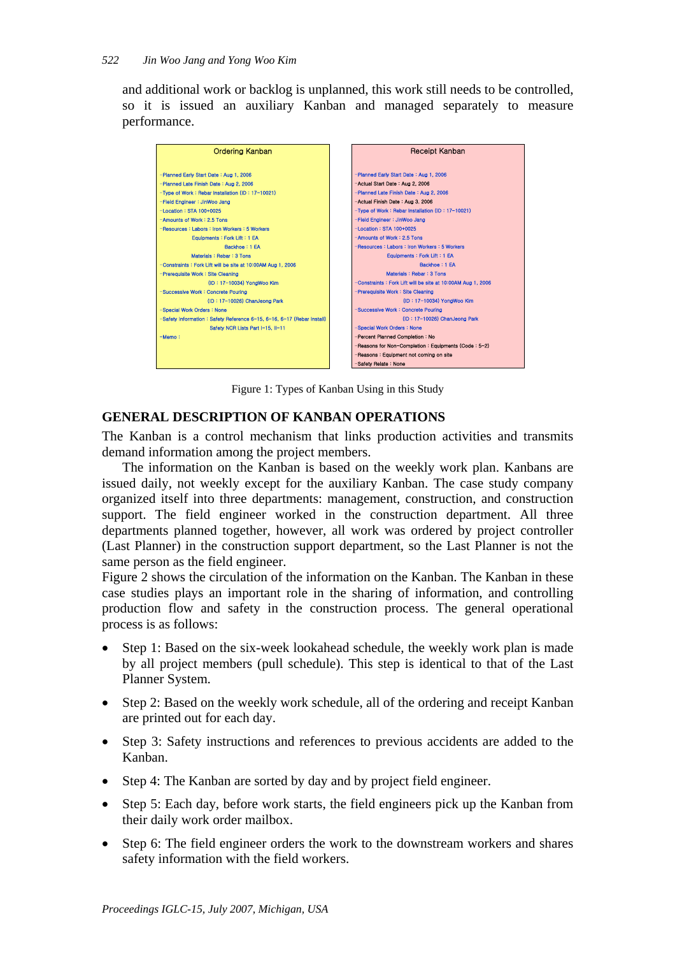and additional work or backlog is unplanned, this work still needs to be controlled, so it is issued an auxiliary Kanban and managed separately to measure performance.



Figure 1: Types of Kanban Using in this Study

## **GENERAL DESCRIPTION OF KANBAN OPERATIONS**

The Kanban is a control mechanism that links production activities and transmits demand information among the project members.

The information on the Kanban is based on the weekly work plan. Kanbans are issued daily, not weekly except for the auxiliary Kanban. The case study company organized itself into three departments: management, construction, and construction support. The field engineer worked in the construction department. All three departments planned together, however, all work was ordered by project controller (Last Planner) in the construction support department, so the Last Planner is not the same person as the field engineer.

Figure 2 shows the circulation of the information on the Kanban. The Kanban in these case studies plays an important role in the sharing of information, and controlling production flow and safety in the construction process. The general operational process is as follows:

- Step 1: Based on the six-week lookahead schedule, the weekly work plan is made by all project members (pull schedule). This step is identical to that of the Last Planner System.
- Step 2: Based on the weekly work schedule, all of the ordering and receipt Kanban are printed out for each day.
- Step 3: Safety instructions and references to previous accidents are added to the Kanban.
- Step 4: The Kanban are sorted by day and by project field engineer.
- Step 5: Each day, before work starts, the field engineers pick up the Kanban from their daily work order mailbox.
- Step 6: The field engineer orders the work to the downstream workers and shares safety information with the field workers.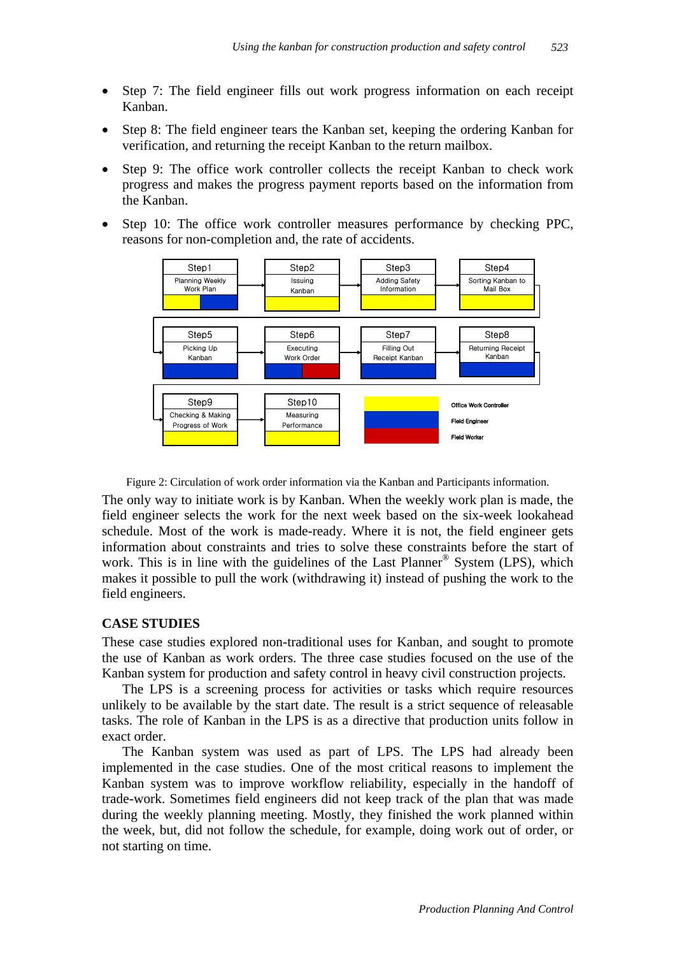- Step 7: The field engineer fills out work progress information on each receipt Kanban.
- Step 8: The field engineer tears the Kanban set, keeping the ordering Kanban for verification, and returning the receipt Kanban to the return mailbox.
- Step 9: The office work controller collects the receipt Kanban to check work progress and makes the progress payment reports based on the information from the Kanban.
- Step 10: The office work controller measures performance by checking PPC, reasons for non-completion and, the rate of accidents.



Figure 2: Circulation of work order information via the Kanban and Participants information.

The only way to initiate work is by Kanban. When the weekly work plan is made, the field engineer selects the work for the next week based on the six-week lookahead schedule. Most of the work is made-ready. Where it is not, the field engineer gets information about constraints and tries to solve these constraints before the start of work. This is in line with the guidelines of the Last Planner<sup>®</sup> System (LPS), which makes it possible to pull the work (withdrawing it) instead of pushing the work to the field engineers.

#### **CASE STUDIES**

These case studies explored non-traditional uses for Kanban, and sought to promote the use of Kanban as work orders. The three case studies focused on the use of the Kanban system for production and safety control in heavy civil construction projects.

The LPS is a screening process for activities or tasks which require resources unlikely to be available by the start date. The result is a strict sequence of releasable tasks. The role of Kanban in the LPS is as a directive that production units follow in exact order.

The Kanban system was used as part of LPS. The LPS had already been implemented in the case studies. One of the most critical reasons to implement the Kanban system was to improve workflow reliability, especially in the handoff of trade-work. Sometimes field engineers did not keep track of the plan that was made during the weekly planning meeting. Mostly, they finished the work planned within the week, but, did not follow the schedule, for example, doing work out of order, or not starting on time.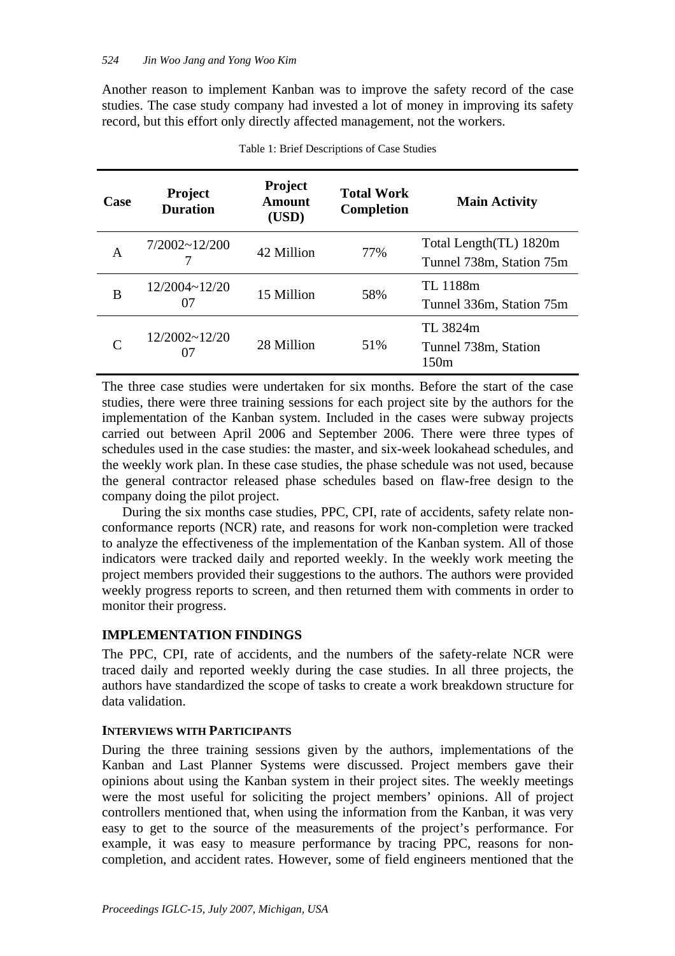Another reason to implement Kanban was to improve the safety record of the case studies. The case study company had invested a lot of money in improving its safety record, but this effort only directly affected management, not the workers.

| Case      | <b>Project</b><br><b>Duration</b> | <b>Project</b><br>Amount<br>(USD) | <b>Total Work</b><br><b>Completion</b> | <b>Main Activity</b>                               |
|-----------|-----------------------------------|-----------------------------------|----------------------------------------|----------------------------------------------------|
| A         | $7/2002 \sim 12/200$              | 42 Million                        | 77%                                    | Total Length(TL) 1820m<br>Tunnel 738m, Station 75m |
| В         | 12/2004~12/20<br>07               | 15 Million                        | 58%                                    | TL 1188m<br>Tunnel 336m, Station 75m               |
| $\subset$ | $12/2002 - 12/20$<br>07           | 28 Million                        | 51%                                    | TL 3824m<br>Tunnel 738m, Station<br>150m           |

The three case studies were undertaken for six months. Before the start of the case studies, there were three training sessions for each project site by the authors for the implementation of the Kanban system. Included in the cases were subway projects carried out between April 2006 and September 2006. There were three types of schedules used in the case studies: the master, and six-week lookahead schedules, and the weekly work plan. In these case studies, the phase schedule was not used, because the general contractor released phase schedules based on flaw-free design to the company doing the pilot project.

During the six months case studies, PPC, CPI, rate of accidents, safety relate nonconformance reports (NCR) rate, and reasons for work non-completion were tracked to analyze the effectiveness of the implementation of the Kanban system. All of those indicators were tracked daily and reported weekly. In the weekly work meeting the project members provided their suggestions to the authors. The authors were provided weekly progress reports to screen, and then returned them with comments in order to monitor their progress.

#### **IMPLEMENTATION FINDINGS**

The PPC, CPI, rate of accidents, and the numbers of the safety-relate NCR were traced daily and reported weekly during the case studies. In all three projects, the authors have standardized the scope of tasks to create a work breakdown structure for data validation.

#### **INTERVIEWS WITH PARTICIPANTS**

During the three training sessions given by the authors, implementations of the Kanban and Last Planner Systems were discussed. Project members gave their opinions about using the Kanban system in their project sites. The weekly meetings were the most useful for soliciting the project members' opinions. All of project controllers mentioned that, when using the information from the Kanban, it was very easy to get to the source of the measurements of the project's performance. For example, it was easy to measure performance by tracing PPC, reasons for noncompletion, and accident rates. However, some of field engineers mentioned that the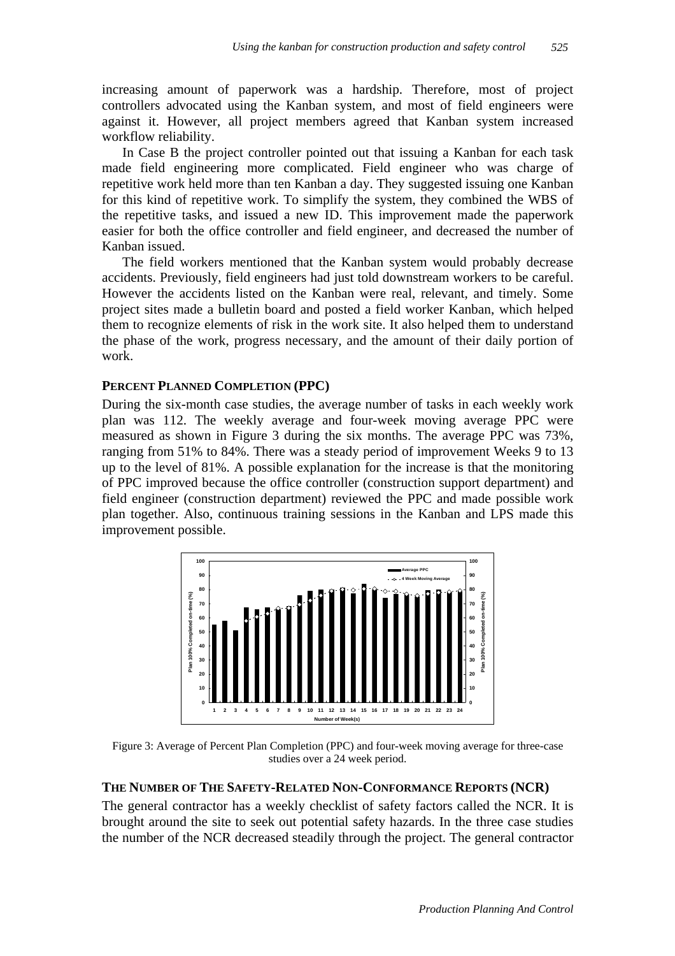increasing amount of paperwork was a hardship. Therefore, most of project controllers advocated using the Kanban system, and most of field engineers were against it. However, all project members agreed that Kanban system increased workflow reliability.

In Case B the project controller pointed out that issuing a Kanban for each task made field engineering more complicated. Field engineer who was charge of repetitive work held more than ten Kanban a day. They suggested issuing one Kanban for this kind of repetitive work. To simplify the system, they combined the WBS of the repetitive tasks, and issued a new ID. This improvement made the paperwork easier for both the office controller and field engineer, and decreased the number of Kanban issued.

The field workers mentioned that the Kanban system would probably decrease accidents. Previously, field engineers had just told downstream workers to be careful. However the accidents listed on the Kanban were real, relevant, and timely. Some project sites made a bulletin board and posted a field worker Kanban, which helped them to recognize elements of risk in the work site. It also helped them to understand the phase of the work, progress necessary, and the amount of their daily portion of work.

#### **PERCENT PLANNED COMPLETION (PPC)**

During the six-month case studies, the average number of tasks in each weekly work plan was 112. The weekly average and four-week moving average PPC were measured as shown in Figure 3 during the six months. The average PPC was 73%, ranging from 51% to 84%. There was a steady period of improvement Weeks 9 to 13 up to the level of 81%. A possible explanation for the increase is that the monitoring of PPC improved because the office controller (construction support department) and field engineer (construction department) reviewed the PPC and made possible work plan together. Also, continuous training sessions in the Kanban and LPS made this improvement possible.



Figure 3: Average of Percent Plan Completion (PPC) and four-week moving average for three-case studies over a 24 week period.

## **THE NUMBER OF THE SAFETY-RELATED NON-CONFORMANCE REPORTS (NCR)**

The general contractor has a weekly checklist of safety factors called the NCR. It is brought around the site to seek out potential safety hazards. In the three case studies the number of the NCR decreased steadily through the project. The general contractor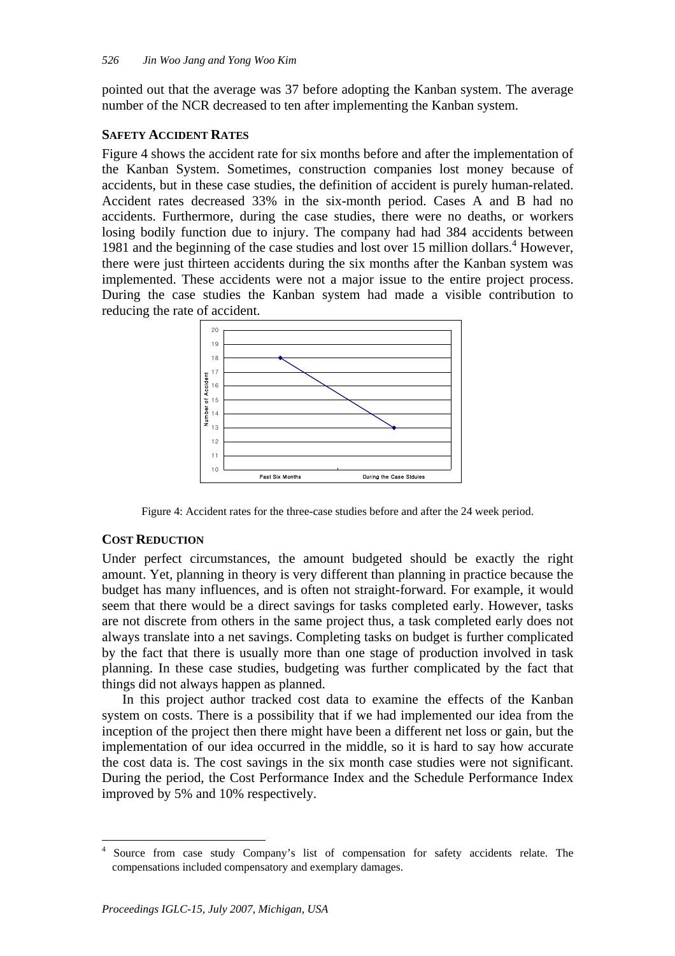pointed out that the average was 37 before adopting the Kanban system. The average number of the NCR decreased to ten after implementing the Kanban system.

## **SAFETY ACCIDENT RATES**

Figure 4 shows the accident rate for six months before and after the implementation of the Kanban System. Sometimes, construction companies lost money because of accidents, but in these case studies, the definition of accident is purely human-related. Accident rates decreased 33% in the six-month period. Cases A and B had no accidents. Furthermore, during the case studies, there were no deaths, or workers losing bodily function due to injury. The company had had 384 accidents between 1981 and the beginning of the case studies and lost over 15 million dollars.<sup>4</sup> However, there were just thirteen accidents during the six months after the Kanban system was implemented. These accidents were not a major issue to the entire project process. During the case studies the Kanban system had made a visible contribution to reducing the rate of accident.



Figure 4: Accident rates for the three-case studies before and after the 24 week period.

## **COST REDUCTION**

Under perfect circumstances, the amount budgeted should be exactly the right amount. Yet, planning in theory is very different than planning in practice because the budget has many influences, and is often not straight-forward. For example, it would seem that there would be a direct savings for tasks completed early. However, tasks are not discrete from others in the same project thus, a task completed early does not always translate into a net savings. Completing tasks on budget is further complicated by the fact that there is usually more than one stage of production involved in task planning. In these case studies, budgeting was further complicated by the fact that things did not always happen as planned.

In this project author tracked cost data to examine the effects of the Kanban system on costs. There is a possibility that if we had implemented our idea from the inception of the project then there might have been a different net loss or gain, but the implementation of our idea occurred in the middle, so it is hard to say how accurate the cost data is. The cost savings in the six month case studies were not significant. During the period, the Cost Performance Index and the Schedule Performance Index improved by 5% and 10% respectively.

 $\overline{a}$ 4 Source from case study Company's list of compensation for safety accidents relate. The compensations included compensatory and exemplary damages.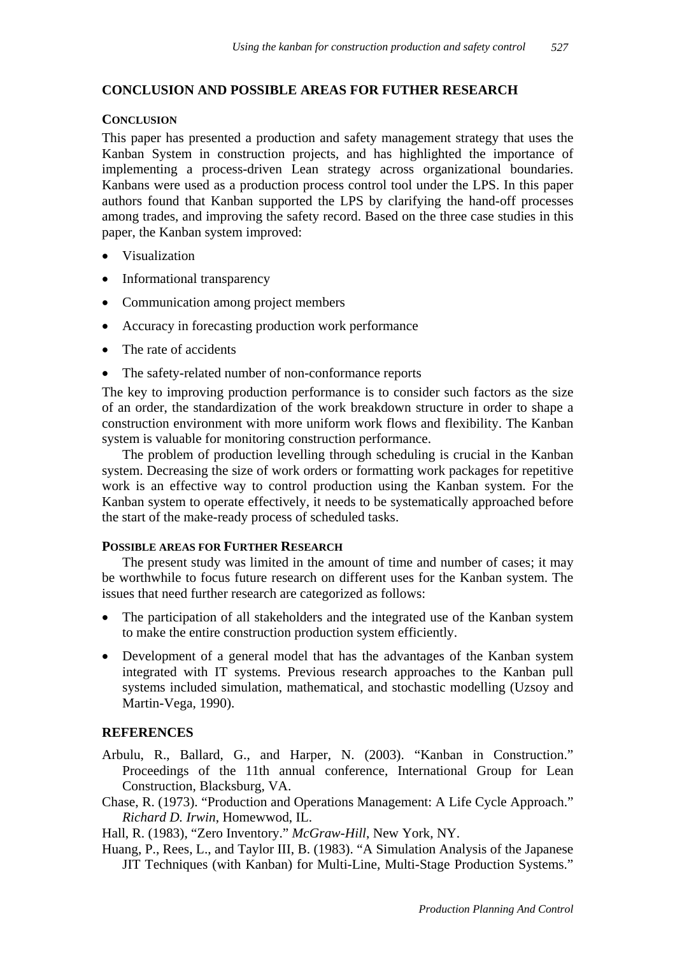### **CONCLUSION AND POSSIBLE AREAS FOR FUTHER RESEARCH**

#### **CONCLUSION**

This paper has presented a production and safety management strategy that uses the Kanban System in construction projects, and has highlighted the importance of implementing a process-driven Lean strategy across organizational boundaries. Kanbans were used as a production process control tool under the LPS. In this paper authors found that Kanban supported the LPS by clarifying the hand-off processes among trades, and improving the safety record. Based on the three case studies in this paper, the Kanban system improved:

- Visualization
- Informational transparency
- Communication among project members
- Accuracy in forecasting production work performance
- The rate of accidents
- The safety-related number of non-conformance reports

The key to improving production performance is to consider such factors as the size of an order, the standardization of the work breakdown structure in order to shape a construction environment with more uniform work flows and flexibility. The Kanban system is valuable for monitoring construction performance.

The problem of production levelling through scheduling is crucial in the Kanban system. Decreasing the size of work orders or formatting work packages for repetitive work is an effective way to control production using the Kanban system. For the Kanban system to operate effectively, it needs to be systematically approached before the start of the make-ready process of scheduled tasks.

#### **POSSIBLE AREAS FOR FURTHER RESEARCH**

The present study was limited in the amount of time and number of cases; it may be worthwhile to focus future research on different uses for the Kanban system. The issues that need further research are categorized as follows:

- The participation of all stakeholders and the integrated use of the Kanban system to make the entire construction production system efficiently.
- Development of a general model that has the advantages of the Kanban system integrated with IT systems. Previous research approaches to the Kanban pull systems included simulation, mathematical, and stochastic modelling (Uzsoy and Martin-Vega, 1990).

#### **REFERENCES**

- Arbulu, R., Ballard, G., and Harper, N. (2003). "Kanban in Construction." Proceedings of the 11th annual conference, International Group for Lean Construction, Blacksburg, VA.
- Chase, R. (1973). "Production and Operations Management: A Life Cycle Approach." *Richard D. Irwin*, Homewwod, IL.

Hall, R. (1983), "Zero Inventory." *McGraw-Hill*, New York, NY.

Huang, P., Rees, L., and Taylor III, B. (1983). "A Simulation Analysis of the Japanese JIT Techniques (with Kanban) for Multi-Line, Multi-Stage Production Systems."